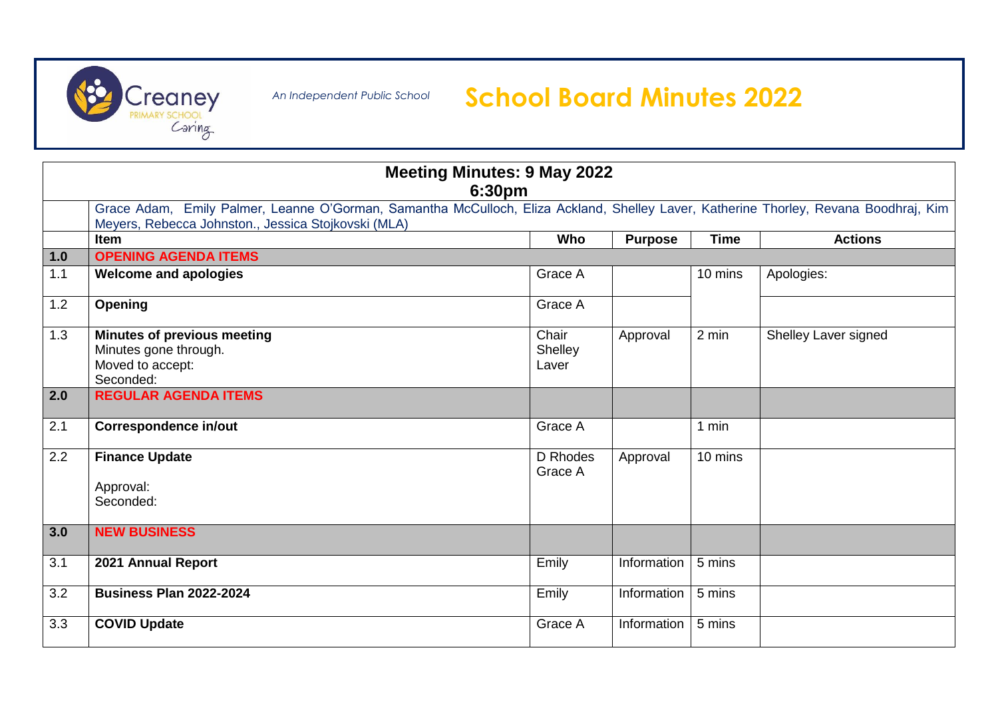

*An Independent Public School*

## **Creancy** An Independent Public School **School Board Minutes 2022**<br>Caring

| <b>Meeting Minutes: 9 May 2022</b><br>6:30pm                                                                                                                                                |                                                                                              |                           |                |             |                      |  |  |  |  |
|---------------------------------------------------------------------------------------------------------------------------------------------------------------------------------------------|----------------------------------------------------------------------------------------------|---------------------------|----------------|-------------|----------------------|--|--|--|--|
| Grace Adam, Emily Palmer, Leanne O'Gorman, Samantha McCulloch, Eliza Ackland, Shelley Laver, Katherine Thorley, Revana Boodhraj, Kim<br>Meyers, Rebecca Johnston., Jessica Stojkovski (MLA) |                                                                                              |                           |                |             |                      |  |  |  |  |
|                                                                                                                                                                                             | <b>Item</b>                                                                                  | <b>Who</b>                | <b>Purpose</b> | <b>Time</b> | <b>Actions</b>       |  |  |  |  |
| 1.0                                                                                                                                                                                         | <b>OPENING AGENDA ITEMS</b>                                                                  |                           |                |             |                      |  |  |  |  |
| 1.1                                                                                                                                                                                         | <b>Welcome and apologies</b>                                                                 | Grace A                   |                | 10 mins     | Apologies:           |  |  |  |  |
| 1.2                                                                                                                                                                                         | <b>Opening</b>                                                                               | Grace A                   |                |             |                      |  |  |  |  |
| 1.3                                                                                                                                                                                         | <b>Minutes of previous meeting</b><br>Minutes gone through.<br>Moved to accept:<br>Seconded: | Chair<br>Shelley<br>Laver | Approval       | 2 min       | Shelley Laver signed |  |  |  |  |
| 2.0                                                                                                                                                                                         | <b>REGULAR AGENDA ITEMS</b>                                                                  |                           |                |             |                      |  |  |  |  |
| 2.1                                                                                                                                                                                         | <b>Correspondence in/out</b>                                                                 | Grace A                   |                | 1 min       |                      |  |  |  |  |
| 2.2                                                                                                                                                                                         | <b>Finance Update</b><br>Approval:<br>Seconded:                                              | D Rhodes<br>Grace A       | Approval       | 10 mins     |                      |  |  |  |  |
| 3.0                                                                                                                                                                                         | <b>NEW BUSINESS</b>                                                                          |                           |                |             |                      |  |  |  |  |
| 3.1                                                                                                                                                                                         | 2021 Annual Report                                                                           | Emily                     | Information    | 5 mins      |                      |  |  |  |  |
| 3.2                                                                                                                                                                                         | <b>Business Plan 2022-2024</b>                                                               | Emily                     | Information    | 5 mins      |                      |  |  |  |  |
| 3.3                                                                                                                                                                                         | <b>COVID Update</b>                                                                          | Grace A                   | Information    | 5 mins      |                      |  |  |  |  |